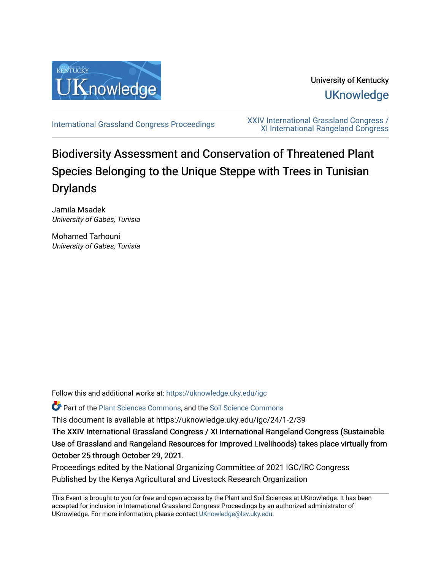

University of Kentucky **UKnowledge** 

[International Grassland Congress Proceedings](https://uknowledge.uky.edu/igc) [XXIV International Grassland Congress /](https://uknowledge.uky.edu/igc/24)  [XI International Rangeland Congress](https://uknowledge.uky.edu/igc/24) 

# Biodiversity Assessment and Conservation of Threatened Plant Species Belonging to the Unique Steppe with Trees in Tunisian **Drylands**

Jamila Msadek University of Gabes, Tunisia

Mohamed Tarhouni University of Gabes, Tunisia

Follow this and additional works at: [https://uknowledge.uky.edu/igc](https://uknowledge.uky.edu/igc?utm_source=uknowledge.uky.edu%2Figc%2F24%2F1-2%2F39&utm_medium=PDF&utm_campaign=PDFCoverPages) 

Part of the [Plant Sciences Commons](http://network.bepress.com/hgg/discipline/102?utm_source=uknowledge.uky.edu%2Figc%2F24%2F1-2%2F39&utm_medium=PDF&utm_campaign=PDFCoverPages), and the [Soil Science Commons](http://network.bepress.com/hgg/discipline/163?utm_source=uknowledge.uky.edu%2Figc%2F24%2F1-2%2F39&utm_medium=PDF&utm_campaign=PDFCoverPages) 

This document is available at https://uknowledge.uky.edu/igc/24/1-2/39

The XXIV International Grassland Congress / XI International Rangeland Congress (Sustainable Use of Grassland and Rangeland Resources for Improved Livelihoods) takes place virtually from October 25 through October 29, 2021.

Proceedings edited by the National Organizing Committee of 2021 IGC/IRC Congress Published by the Kenya Agricultural and Livestock Research Organization

This Event is brought to you for free and open access by the Plant and Soil Sciences at UKnowledge. It has been accepted for inclusion in International Grassland Congress Proceedings by an authorized administrator of UKnowledge. For more information, please contact [UKnowledge@lsv.uky.edu](mailto:UKnowledge@lsv.uky.edu).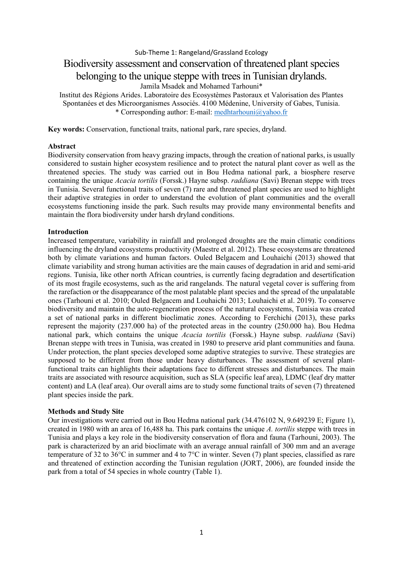Sub-Theme 1: Rangeland/Grassland Ecology Biodiversity assessment and conservation of threatened plant species

# belonging to the unique steppe with trees in Tunisian drylands.

Jamila Msadek and Mohamed Tarhouni\*

Institut des Régions Arides. Laboratoire des Ecosystèmes Pastoraux et Valorisation des Plantes Spontanées et des Microorganismes Associés. 4100 Médenine, University of Gabes, Tunisia. \* Corresponding author: E-mail: [medhtarhouni@yahoo.fr](mailto:medhtarhouni@yahoo.fr)

**Key words:** Conservation, functional traits, national park, rare species, dryland.

#### **Abstract**

Biodiversity conservation from heavy grazing impacts, through the creation of national parks, is usually considered to sustain higher ecosystem resilience and to protect the natural plant cover as well as the threatened species. The study was carried out in Bou Hedma national park, a biosphere reserve containing the unique *Acacia tortilis* (Forssk.) Hayne subsp. *raddiana* (Savi) Brenan steppe with trees in Tunisia. Several functional traits of seven (7) rare and threatened plant species are used to highlight their adaptive strategies in order to understand the evolution of plant communities and the overall ecosystems functioning inside the park. Such results may provide many environmental benefits and maintain the flora biodiversity under harsh dryland conditions.

## **Introduction**

Increased temperature, variability in rainfall and prolonged droughts are the main climatic conditions influencing the dryland ecosystems productivity (Maestre et al. 2012). These ecosystems are threatened both by climate variations and human factors. Ouled Belgacem and Louhaichi (2013) showed that climate variability and strong human activities are the main causes of degradation in arid and semi-arid regions. Tunisia, like other north African countries, is currently facing degradation and desertification of its most fragile ecosystems, such as the arid rangelands. The natural vegetal cover is suffering from the rarefaction or the disappearance of the most palatable plant species and the spread of the unpalatable ones (Tarhouni et al. 2010; Ouled Belgacem and Louhaichi 2013; Louhaichi et al. 2019). To conserve biodiversity and maintain the auto-regeneration process of the natural ecosystems, Tunisia was created a set of national parks in different bioclimatic zones. According to Ferchichi (2013), these parks represent the majority (237.000 ha) of the protected areas in the country (250.000 ha). Bou Hedma national park, which contains the unique *Acacia tortilis* (Forssk.) Hayne subsp. *raddiana* (Savi) Brenan steppe with trees in Tunisia, was created in 1980 to preserve arid plant communities and fauna. Under protection, the plant species developed some adaptive strategies to survive. These strategies are supposed to be different from those under heavy disturbances. The assessment of several plantfunctional traits can highlights their adaptations face to different stresses and disturbances. The main traits are associated with resource acquisition, such as SLA (specific leaf area), LDMC (leaf dry matter content) and LA (leaf area). Our overall aims are to study some functional traits of seven (7) threatened plant species inside the park.

## **Methods and Study Site**

Our investigations were carried out in Bou Hedma national park (34.476102 N, 9.649239 E; Figure 1), created in 1980 with an area of 16,488 ha. This park contains the unique *A. tortilis* steppe with trees in Tunisia and plays a key role in the biodiversity conservation of flora and fauna (Tarhouni, 2003). The park is characterized by an arid bioclimate with an average annual rainfall of 300 mm and an average temperature of 32 to 36°C in summer and 4 to 7°C in winter. Seven (7) plant species, classified as rare and threatened of extinction according the Tunisian regulation (JORT, 2006), are founded inside the park from a total of 54 species in whole country (Table 1).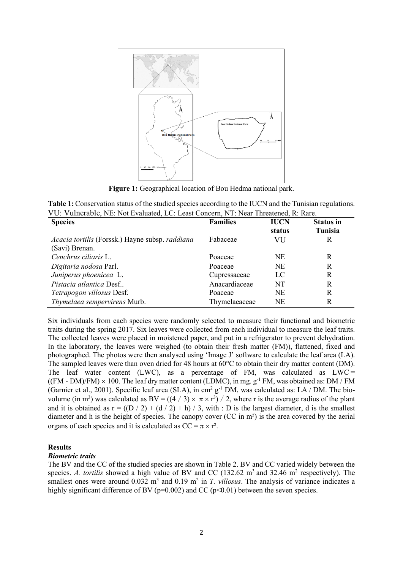

**Figure 1:** Geographical location of Bou Hedma national park.

**Table 1:** Conservation status of the studied species according to the IUCN and the Tunisian regulations. VU: Vulnerable, NE: Not Evaluated, LC: Least Concern, NT: Near Threatened, R: Rare.

| <b>Species</b>                                  | <b>Families</b> | <b>IUCN</b> | <b>Status in</b> |
|-------------------------------------------------|-----------------|-------------|------------------|
|                                                 |                 | status      | Tunisia          |
| Acacia tortilis (Forssk.) Hayne subsp. raddiana | Fabaceae        | VU          | R                |
| (Savi) Brenan.                                  |                 |             |                  |
| Cenchrus ciliaris L.                            | Poaceae         | <b>NE</b>   | R                |
| Digitaria nodosa Parl.                          | Poaceae         | <b>NE</b>   | R                |
| Juniperus phoenicea L.                          | Cupressaceae    | LC          | R                |
| Pistacia atlantica Desf                         | Anacardiaceae   | NT          | R                |
| Tetrapogon villosus Desf.                       | Poaceae         | <b>NE</b>   | R                |
| Thymelaea sempervirens Murb.                    | Thymelaeaceae   | <b>NE</b>   | R                |

Six individuals from each species were randomly selected to measure their functional and biometric traits during the spring 2017. Six leaves were collected from each individual to measure the leaf traits. The collected leaves were placed in moistened paper, and put in a refrigerator to prevent dehydration. In the laboratory, the leaves were weighed (to obtain their fresh matter (FM)), flattened, fixed and photographed. The photos were then analysed using 'Image J' software to calculate the leaf area (LA). The sampled leaves were than oven dried for 48 hours at 60°C to obtain their dry matter content (DM). The leaf water content (LWC), as a percentage of FM, was calculated as  $LWC =$  $((FM - DM)/FM) \times 100$ . The leaf dry matter content (LDMC), in mg.  $g^{-1}FM$ , was obtained as: DM / FM (Garnier et al., 2001). Specific leaf area (SLA), in cm2 g-1 DM, was calculated as: LA / DM. The biovolume (in m<sup>3</sup>) was calculated as  $BV = ((4 / 3) \times \pi \times r^3) / 2$ , where r is the average radius of the plant and it is obtained as  $r = ((D / 2) + (d / 2) + h) / 3$ , with : D is the largest diameter, d is the smallest diameter and h is the height of species. The canopy cover (CC in m²) is the area covered by the aerial organs of each species and it is calculated as  $CC = \pi \times r^2$ .

#### **Results**

#### *Biometric traits*

The BV and the CC of the studied species are shown in Table 2. BV and CC varied widely between the species. *A. tortilis* showed a high value of BV and CC  $(132.62 \text{ m}^3 \text{ and } 32.46 \text{ m}^2 \text{ respectively})$ . The smallest ones were around  $0.032 \text{ m}^3$  and  $0.19 \text{ m}^2$  in *T. villosus*. The analysis of variance indicates a highly significant difference of BV ( $p=0.002$ ) and CC ( $p<0.01$ ) between the seven species.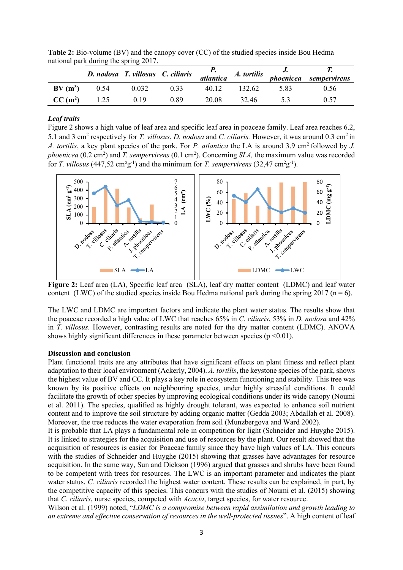|                     | D. nodosa T. villosus C. ciliaris p.<br>atlantica A. tortilis |       |      |       |        | J.   | <i>phoenicea</i> sempervirens |
|---------------------|---------------------------------------------------------------|-------|------|-------|--------|------|-------------------------------|
| $BV(m^3)$           | 0.54                                                          | 0.032 | 0.33 | 40.12 | 132.62 | 5.83 | 0.56                          |
| CC(m <sup>2</sup> ) | 1.25                                                          | 0.19  | 0.89 | 20.08 | 32.46  |      | 0.57                          |

**Table 2:** Bio-volume (BV) and the canopy cover (CC) of the studied species inside Bou Hedma national park during the spring 2017.

#### *Leaf traits*

Figure 2 shows a high value of leaf area and specific leaf area in poaceae family. Leaf area reaches 6.2, 5.1 and 3 cm2 respectively for *T. villosus*, *D. nodosa* and *C. ciliaris.* However, it was around 0.3 cm2 in *A. tortilis,* a key plant species of the park. For *P. atlantica* the LA is around 3.9 cm<sup>2</sup> followed by *J. phoenicea* (0.2 cm<sup>2</sup>) and *T. sempervirens* (0.1 cm<sup>2</sup>). Concerning *SLA*, the maximum value was recorded for *T. villosus* (447,52 cm<sup>2</sup>g<sup>-1</sup>) and the minimum for *T. sempervirens* (32,47 cm<sup>2</sup>g<sup>-1</sup>).



**Figure 2:** Leaf area (LA), Specific leaf area (SLA), leaf dry matter content (LDMC) and leaf water content (LWC) of the studied species inside Bou Hedma national park during the spring 2017 ( $n = 6$ ).

The LWC and LDMC are important factors and indicate the plant water status. The results show that the poaceae recorded a high value of LWC that reaches 65% in *C. ciliaris*, 53% in *D. nodosa* and 42% in *T. villosus.* However, contrasting results are noted for the dry matter content (LDMC). ANOVA shows highly significant differences in these parameter between species ( $p \le 0.01$ ).

#### **Discussion and conclusion**

Plant functional traits are any attributes that have significant effects on plant fitness and reflect plant adaptation to their local environment (Ackerly, 2004). *A. tortilis*, the keystone species of the park, shows the highest value of BV and CC. It plays a key role in ecosystem functioning and stability. This tree was known by its positive effects on neighbouring species, under highly stressful conditions. It could facilitate the growth of other species by improving ecological conditions under its wide canopy (Noumi et al. 2011). The species, qualified as highly drought tolerant, was expected to enhance soil nutrient content and to improve the soil structure by adding organic matter (Gedda 2003; Abdallah et al. 2008). Moreover, the tree reduces the water evaporation from soil (Munzbergova and Ward 2002).

It is probable that LA plays a fundamental role in competition for light (Schneider and Huyghe 2015). It is linked to strategies for the acquisition and use of resources by the plant. Our result showed that the acquisition of resources is easier for Poaceae family since they have high values of LA. This concurs with the studies of Schneider and Huyghe (2015) showing that grasses have advantages for resource acquisition. In the same way, Sun and Dickson (1996) argued that grasses and shrubs have been found to be competent with trees for resources. The LWC is an important parameter and indicates the plant water status. *C. ciliaris* recorded the highest water content. These results can be explained, in part, by the competitive capacity of this species. This concurs with the studies of Noumi et al. (2015) showing that *C. ciliaris*, nurse species, competed with *Acacia*, target species, for water resource.

Wilson et al. (1999) noted, "*LDMC is a compromise between rapid assimilation and growth leading to an extreme and effective conservation of resources in the well-protected tissues*". A high content of leaf